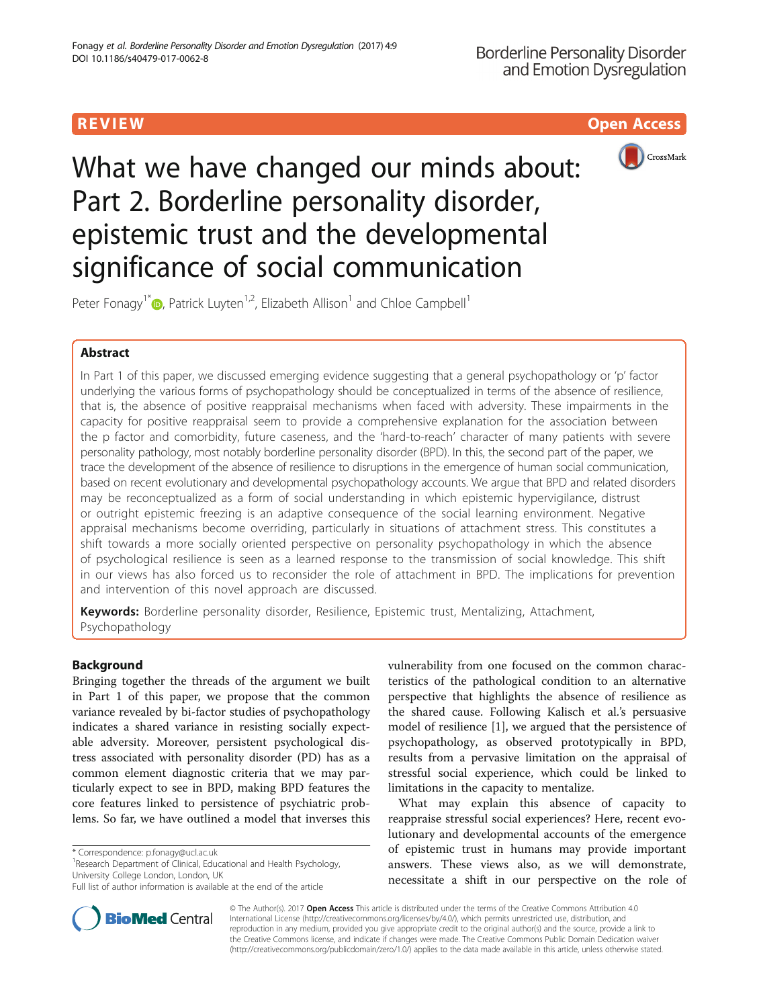**REVIEW ACCESS AND LOCAL CONTRACT CONTRACT OF ACCESS** 



What we have changed our minds about: Part 2. Borderline personality disorder, epistemic trust and the developmental significance of social communication

Peter Fonagy<sup>1\*</sup>  $\bullet$ [,](http://orcid.org/0000-0003-0229-0091) Patrick Luyten<sup>1,2</sup>, Elizabeth Allison<sup>1</sup> and Chloe Campbell<sup>1</sup>

# Abstract

In Part 1 of this paper, we discussed emerging evidence suggesting that a general psychopathology or 'p' factor underlying the various forms of psychopathology should be conceptualized in terms of the absence of resilience, that is, the absence of positive reappraisal mechanisms when faced with adversity. These impairments in the capacity for positive reappraisal seem to provide a comprehensive explanation for the association between the p factor and comorbidity, future caseness, and the 'hard-to-reach' character of many patients with severe personality pathology, most notably borderline personality disorder (BPD). In this, the second part of the paper, we trace the development of the absence of resilience to disruptions in the emergence of human social communication, based on recent evolutionary and developmental psychopathology accounts. We argue that BPD and related disorders may be reconceptualized as a form of social understanding in which epistemic hypervigilance, distrust or outright epistemic freezing is an adaptive consequence of the social learning environment. Negative appraisal mechanisms become overriding, particularly in situations of attachment stress. This constitutes a shift towards a more socially oriented perspective on personality psychopathology in which the absence of psychological resilience is seen as a learned response to the transmission of social knowledge. This shift in our views has also forced us to reconsider the role of attachment in BPD. The implications for prevention and intervention of this novel approach are discussed.

Keywords: Borderline personality disorder, Resilience, Epistemic trust, Mentalizing, Attachment, Psychopathology

# Background

Bringing together the threads of the argument we built in Part 1 of this paper, we propose that the common variance revealed by bi-factor studies of psychopathology indicates a shared variance in resisting socially expectable adversity. Moreover, persistent psychological distress associated with personality disorder (PD) has as a common element diagnostic criteria that we may particularly expect to see in BPD, making BPD features the core features linked to persistence of psychiatric problems. So far, we have outlined a model that inverses this

\* Correspondence: [p.fonagy@ucl.ac.uk](mailto:p.fonagy@ucl.ac.uk) <sup>1</sup>

<sup>1</sup> Research Department of Clinical, Educational and Health Psychology, University College London, London, UK

vulnerability from one focused on the common characteristics of the pathological condition to an alternative perspective that highlights the absence of resilience as the shared cause. Following Kalisch et al.'s persuasive model of resilience [[1\]](#page-10-0), we argued that the persistence of psychopathology, as observed prototypically in BPD, results from a pervasive limitation on the appraisal of stressful social experience, which could be linked to limitations in the capacity to mentalize.

What may explain this absence of capacity to reappraise stressful social experiences? Here, recent evolutionary and developmental accounts of the emergence of epistemic trust in humans may provide important answers. These views also, as we will demonstrate, necessitate a shift in our perspective on the role of



© The Author(s). 2017 **Open Access** This article is distributed under the terms of the Creative Commons Attribution 4.0 International License [\(http://creativecommons.org/licenses/by/4.0/](http://creativecommons.org/licenses/by/4.0/)), which permits unrestricted use, distribution, and reproduction in any medium, provided you give appropriate credit to the original author(s) and the source, provide a link to the Creative Commons license, and indicate if changes were made. The Creative Commons Public Domain Dedication waiver [\(http://creativecommons.org/publicdomain/zero/1.0/](http://creativecommons.org/publicdomain/zero/1.0/)) applies to the data made available in this article, unless otherwise stated.

Full list of author information is available at the end of the article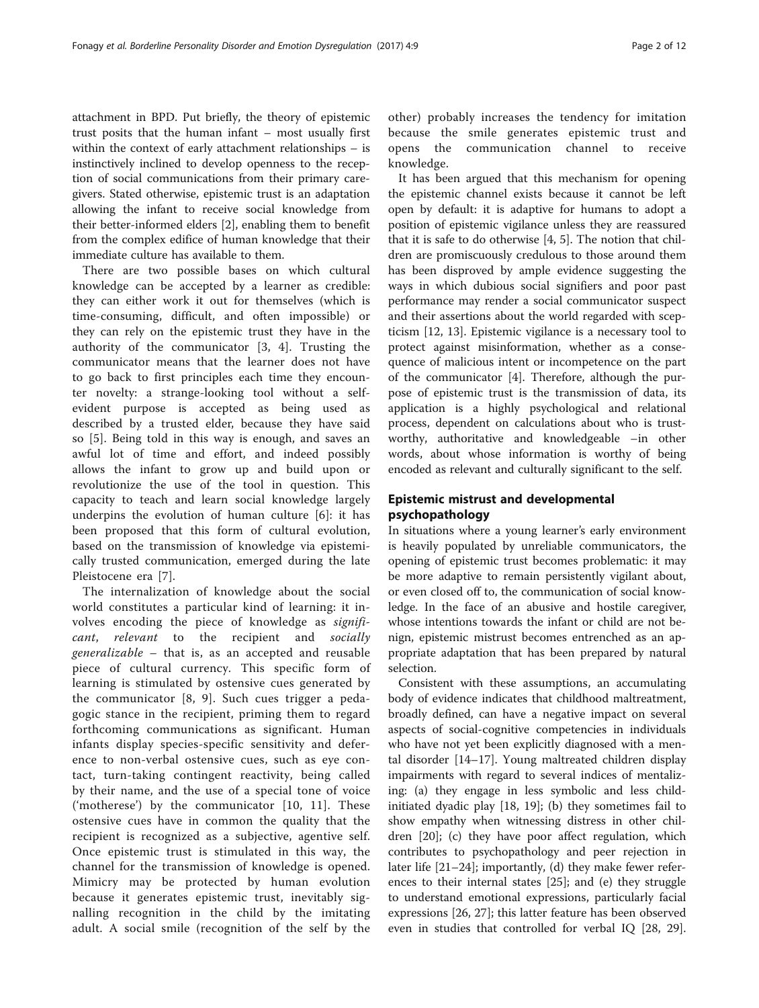attachment in BPD. Put briefly, the theory of epistemic trust posits that the human infant – most usually first within the context of early attachment relationships – is instinctively inclined to develop openness to the reception of social communications from their primary caregivers. Stated otherwise, epistemic trust is an adaptation allowing the infant to receive social knowledge from their better-informed elders [[2\]](#page-10-0), enabling them to benefit from the complex edifice of human knowledge that their immediate culture has available to them.

There are two possible bases on which cultural knowledge can be accepted by a learner as credible: they can either work it out for themselves (which is time-consuming, difficult, and often impossible) or they can rely on the epistemic trust they have in the authority of the communicator [\[3](#page-10-0), [4\]](#page-10-0). Trusting the communicator means that the learner does not have to go back to first principles each time they encounter novelty: a strange-looking tool without a selfevident purpose is accepted as being used as described by a trusted elder, because they have said so [\[5](#page-10-0)]. Being told in this way is enough, and saves an awful lot of time and effort, and indeed possibly allows the infant to grow up and build upon or revolutionize the use of the tool in question. This capacity to teach and learn social knowledge largely underpins the evolution of human culture [\[6\]](#page-10-0): it has been proposed that this form of cultural evolution, based on the transmission of knowledge via epistemically trusted communication, emerged during the late Pleistocene era [\[7](#page-10-0)].

The internalization of knowledge about the social world constitutes a particular kind of learning: it involves encoding the piece of knowledge as significant, relevant to the recipient and socially generalizable – that is, as an accepted and reusable piece of cultural currency. This specific form of learning is stimulated by ostensive cues generated by the communicator [[8](#page-10-0), [9\]](#page-10-0). Such cues trigger a pedagogic stance in the recipient, priming them to regard forthcoming communications as significant. Human infants display species-specific sensitivity and deference to non-verbal ostensive cues, such as eye contact, turn-taking contingent reactivity, being called by their name, and the use of a special tone of voice ('motherese') by the communicator [[10](#page-10-0), [11\]](#page-10-0). These ostensive cues have in common the quality that the recipient is recognized as a subjective, agentive self. Once epistemic trust is stimulated in this way, the channel for the transmission of knowledge is opened. Mimicry may be protected by human evolution because it generates epistemic trust, inevitably signalling recognition in the child by the imitating adult. A social smile (recognition of the self by the other) probably increases the tendency for imitation because the smile generates epistemic trust and opens the communication channel to receive knowledge.

It has been argued that this mechanism for opening the epistemic channel exists because it cannot be left open by default: it is adaptive for humans to adopt a position of epistemic vigilance unless they are reassured that it is safe to do otherwise [[4](#page-10-0), [5](#page-10-0)]. The notion that children are promiscuously credulous to those around them has been disproved by ample evidence suggesting the ways in which dubious social signifiers and poor past performance may render a social communicator suspect and their assertions about the world regarded with scepticism [[12, 13\]](#page-10-0). Epistemic vigilance is a necessary tool to protect against misinformation, whether as a consequence of malicious intent or incompetence on the part of the communicator [[4\]](#page-10-0). Therefore, although the purpose of epistemic trust is the transmission of data, its application is a highly psychological and relational process, dependent on calculations about who is trustworthy, authoritative and knowledgeable –in other words, about whose information is worthy of being encoded as relevant and culturally significant to the self.

## Epistemic mistrust and developmental psychopathology

In situations where a young learner's early environment is heavily populated by unreliable communicators, the opening of epistemic trust becomes problematic: it may be more adaptive to remain persistently vigilant about, or even closed off to, the communication of social knowledge. In the face of an abusive and hostile caregiver, whose intentions towards the infant or child are not benign, epistemic mistrust becomes entrenched as an appropriate adaptation that has been prepared by natural selection.

Consistent with these assumptions, an accumulating body of evidence indicates that childhood maltreatment, broadly defined, can have a negative impact on several aspects of social-cognitive competencies in individuals who have not yet been explicitly diagnosed with a mental disorder [[14](#page-10-0)–[17](#page-10-0)]. Young maltreated children display impairments with regard to several indices of mentalizing: (a) they engage in less symbolic and less childinitiated dyadic play [[18](#page-10-0), [19](#page-10-0)]; (b) they sometimes fail to show empathy when witnessing distress in other children [[20\]](#page-10-0); (c) they have poor affect regulation, which contributes to psychopathology and peer rejection in later life [\[21](#page-10-0)–[24](#page-10-0)]; importantly, (d) they make fewer references to their internal states [\[25\]](#page-10-0); and (e) they struggle to understand emotional expressions, particularly facial expressions [[26](#page-10-0), [27](#page-10-0)]; this latter feature has been observed even in studies that controlled for verbal IQ [[28](#page-10-0), [29](#page-10-0)].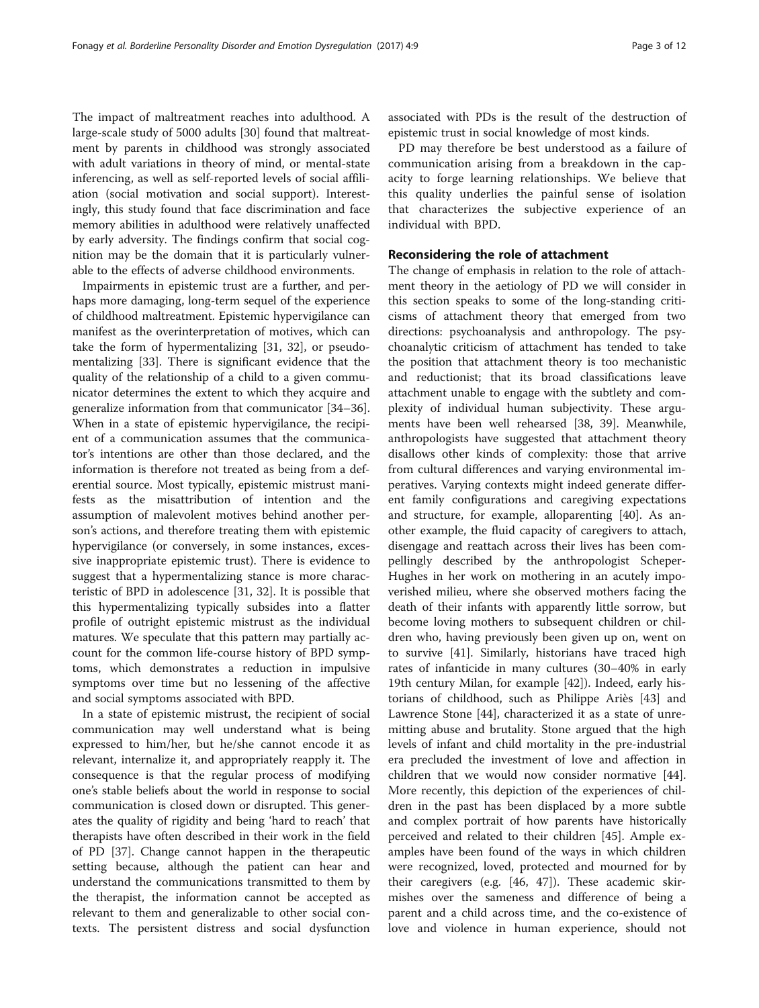The impact of maltreatment reaches into adulthood. A large-scale study of 5000 adults [\[30](#page-10-0)] found that maltreatment by parents in childhood was strongly associated with adult variations in theory of mind, or mental-state inferencing, as well as self-reported levels of social affiliation (social motivation and social support). Interestingly, this study found that face discrimination and face memory abilities in adulthood were relatively unaffected by early adversity. The findings confirm that social cognition may be the domain that it is particularly vulnerable to the effects of adverse childhood environments.

Impairments in epistemic trust are a further, and perhaps more damaging, long-term sequel of the experience of childhood maltreatment. Epistemic hypervigilance can manifest as the overinterpretation of motives, which can take the form of hypermentalizing [\[31](#page-10-0), [32](#page-10-0)], or pseudomentalizing [[33\]](#page-10-0). There is significant evidence that the quality of the relationship of a child to a given communicator determines the extent to which they acquire and generalize information from that communicator [[34](#page-10-0)–[36](#page-10-0)]. When in a state of epistemic hypervigilance, the recipient of a communication assumes that the communicator's intentions are other than those declared, and the information is therefore not treated as being from a deferential source. Most typically, epistemic mistrust manifests as the misattribution of intention and the assumption of malevolent motives behind another person's actions, and therefore treating them with epistemic hypervigilance (or conversely, in some instances, excessive inappropriate epistemic trust). There is evidence to suggest that a hypermentalizing stance is more characteristic of BPD in adolescence [\[31](#page-10-0), [32](#page-10-0)]. It is possible that this hypermentalizing typically subsides into a flatter profile of outright epistemic mistrust as the individual matures. We speculate that this pattern may partially account for the common life-course history of BPD symptoms, which demonstrates a reduction in impulsive symptoms over time but no lessening of the affective and social symptoms associated with BPD.

In a state of epistemic mistrust, the recipient of social communication may well understand what is being expressed to him/her, but he/she cannot encode it as relevant, internalize it, and appropriately reapply it. The consequence is that the regular process of modifying one's stable beliefs about the world in response to social communication is closed down or disrupted. This generates the quality of rigidity and being 'hard to reach' that therapists have often described in their work in the field of PD [\[37](#page-10-0)]. Change cannot happen in the therapeutic setting because, although the patient can hear and understand the communications transmitted to them by the therapist, the information cannot be accepted as relevant to them and generalizable to other social contexts. The persistent distress and social dysfunction

associated with PDs is the result of the destruction of epistemic trust in social knowledge of most kinds.

PD may therefore be best understood as a failure of communication arising from a breakdown in the capacity to forge learning relationships. We believe that this quality underlies the painful sense of isolation that characterizes the subjective experience of an individual with BPD.

### Reconsidering the role of attachment

The change of emphasis in relation to the role of attachment theory in the aetiology of PD we will consider in this section speaks to some of the long-standing criticisms of attachment theory that emerged from two directions: psychoanalysis and anthropology. The psychoanalytic criticism of attachment has tended to take the position that attachment theory is too mechanistic and reductionist; that its broad classifications leave attachment unable to engage with the subtlety and complexity of individual human subjectivity. These arguments have been well rehearsed [\[38](#page-10-0), [39\]](#page-10-0). Meanwhile, anthropologists have suggested that attachment theory disallows other kinds of complexity: those that arrive from cultural differences and varying environmental imperatives. Varying contexts might indeed generate different family configurations and caregiving expectations and structure, for example, alloparenting [[40\]](#page-10-0). As another example, the fluid capacity of caregivers to attach, disengage and reattach across their lives has been compellingly described by the anthropologist Scheper-Hughes in her work on mothering in an acutely impoverished milieu, where she observed mothers facing the death of their infants with apparently little sorrow, but become loving mothers to subsequent children or children who, having previously been given up on, went on to survive [\[41](#page-10-0)]. Similarly, historians have traced high rates of infanticide in many cultures (30–40% in early 19th century Milan, for example [\[42](#page-10-0)]). Indeed, early historians of childhood, such as Philippe Ariès [\[43](#page-10-0)] and Lawrence Stone [\[44\]](#page-10-0), characterized it as a state of unremitting abuse and brutality. Stone argued that the high levels of infant and child mortality in the pre-industrial era precluded the investment of love and affection in children that we would now consider normative [\[44](#page-10-0)]. More recently, this depiction of the experiences of children in the past has been displaced by a more subtle and complex portrait of how parents have historically perceived and related to their children [\[45\]](#page-10-0). Ample examples have been found of the ways in which children were recognized, loved, protected and mourned for by their caregivers (e.g. [[46, 47\]](#page-10-0)). These academic skirmishes over the sameness and difference of being a parent and a child across time, and the co-existence of love and violence in human experience, should not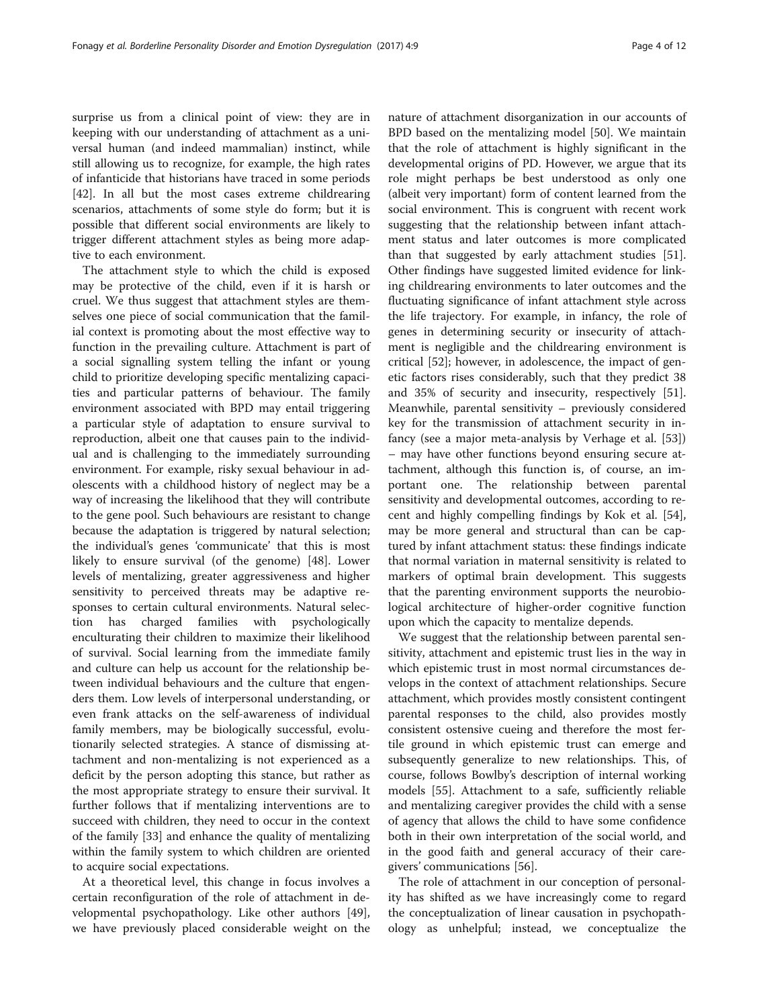surprise us from a clinical point of view: they are in keeping with our understanding of attachment as a universal human (and indeed mammalian) instinct, while still allowing us to recognize, for example, the high rates of infanticide that historians have traced in some periods [[42\]](#page-10-0). In all but the most cases extreme childrearing scenarios, attachments of some style do form; but it is possible that different social environments are likely to trigger different attachment styles as being more adaptive to each environment.

The attachment style to which the child is exposed may be protective of the child, even if it is harsh or cruel. We thus suggest that attachment styles are themselves one piece of social communication that the familial context is promoting about the most effective way to function in the prevailing culture. Attachment is part of a social signalling system telling the infant or young child to prioritize developing specific mentalizing capacities and particular patterns of behaviour. The family environment associated with BPD may entail triggering a particular style of adaptation to ensure survival to reproduction, albeit one that causes pain to the individual and is challenging to the immediately surrounding environment. For example, risky sexual behaviour in adolescents with a childhood history of neglect may be a way of increasing the likelihood that they will contribute to the gene pool. Such behaviours are resistant to change because the adaptation is triggered by natural selection; the individual's genes 'communicate' that this is most likely to ensure survival (of the genome) [[48](#page-10-0)]. Lower levels of mentalizing, greater aggressiveness and higher sensitivity to perceived threats may be adaptive responses to certain cultural environments. Natural selection has charged families with psychologically enculturating their children to maximize their likelihood of survival. Social learning from the immediate family and culture can help us account for the relationship between individual behaviours and the culture that engenders them. Low levels of interpersonal understanding, or even frank attacks on the self-awareness of individual family members, may be biologically successful, evolutionarily selected strategies. A stance of dismissing attachment and non-mentalizing is not experienced as a deficit by the person adopting this stance, but rather as the most appropriate strategy to ensure their survival. It further follows that if mentalizing interventions are to succeed with children, they need to occur in the context of the family [[33](#page-10-0)] and enhance the quality of mentalizing within the family system to which children are oriented to acquire social expectations.

At a theoretical level, this change in focus involves a certain reconfiguration of the role of attachment in developmental psychopathology. Like other authors [\[49](#page-10-0)], we have previously placed considerable weight on the

nature of attachment disorganization in our accounts of BPD based on the mentalizing model [\[50](#page-10-0)]. We maintain that the role of attachment is highly significant in the developmental origins of PD. However, we argue that its role might perhaps be best understood as only one (albeit very important) form of content learned from the social environment. This is congruent with recent work suggesting that the relationship between infant attachment status and later outcomes is more complicated than that suggested by early attachment studies [\[51](#page-10-0)]. Other findings have suggested limited evidence for linking childrearing environments to later outcomes and the fluctuating significance of infant attachment style across the life trajectory. For example, in infancy, the role of genes in determining security or insecurity of attachment is negligible and the childrearing environment is critical [[52\]](#page-10-0); however, in adolescence, the impact of genetic factors rises considerably, such that they predict 38 and 35% of security and insecurity, respectively [\[51](#page-10-0)]. Meanwhile, parental sensitivity – previously considered key for the transmission of attachment security in infancy (see a major meta-analysis by Verhage et al. [\[53](#page-10-0)]) – may have other functions beyond ensuring secure attachment, although this function is, of course, an important one. The relationship between parental sensitivity and developmental outcomes, according to recent and highly compelling findings by Kok et al. [\[54](#page-10-0)], may be more general and structural than can be captured by infant attachment status: these findings indicate that normal variation in maternal sensitivity is related to markers of optimal brain development. This suggests that the parenting environment supports the neurobiological architecture of higher-order cognitive function upon which the capacity to mentalize depends.

We suggest that the relationship between parental sensitivity, attachment and epistemic trust lies in the way in which epistemic trust in most normal circumstances develops in the context of attachment relationships. Secure attachment, which provides mostly consistent contingent parental responses to the child, also provides mostly consistent ostensive cueing and therefore the most fertile ground in which epistemic trust can emerge and subsequently generalize to new relationships. This, of course, follows Bowlby's description of internal working models [[55\]](#page-10-0). Attachment to a safe, sufficiently reliable and mentalizing caregiver provides the child with a sense of agency that allows the child to have some confidence both in their own interpretation of the social world, and in the good faith and general accuracy of their caregivers' communications [[56](#page-10-0)].

The role of attachment in our conception of personality has shifted as we have increasingly come to regard the conceptualization of linear causation in psychopathology as unhelpful; instead, we conceptualize the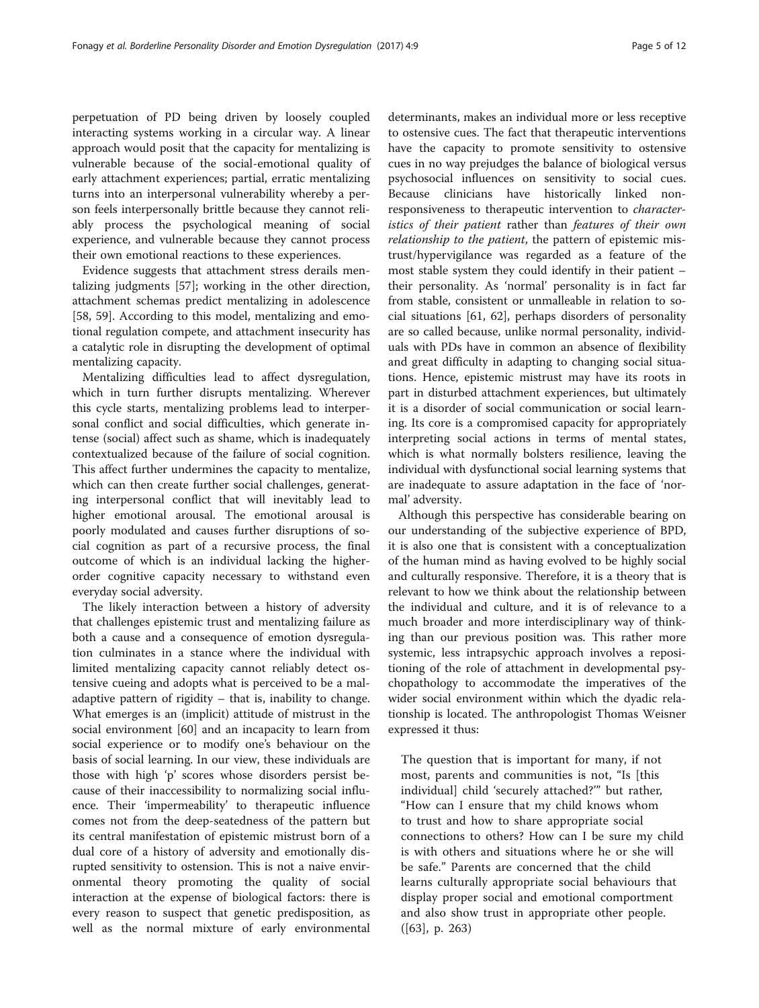perpetuation of PD being driven by loosely coupled interacting systems working in a circular way. A linear approach would posit that the capacity for mentalizing is vulnerable because of the social-emotional quality of early attachment experiences; partial, erratic mentalizing turns into an interpersonal vulnerability whereby a person feels interpersonally brittle because they cannot reliably process the psychological meaning of social experience, and vulnerable because they cannot process their own emotional reactions to these experiences.

Evidence suggests that attachment stress derails mentalizing judgments [\[57](#page-10-0)]; working in the other direction, attachment schemas predict mentalizing in adolescence [[58,](#page-10-0) [59\]](#page-11-0). According to this model, mentalizing and emotional regulation compete, and attachment insecurity has a catalytic role in disrupting the development of optimal mentalizing capacity.

Mentalizing difficulties lead to affect dysregulation, which in turn further disrupts mentalizing. Wherever this cycle starts, mentalizing problems lead to interpersonal conflict and social difficulties, which generate intense (social) affect such as shame, which is inadequately contextualized because of the failure of social cognition. This affect further undermines the capacity to mentalize, which can then create further social challenges, generating interpersonal conflict that will inevitably lead to higher emotional arousal. The emotional arousal is poorly modulated and causes further disruptions of social cognition as part of a recursive process, the final outcome of which is an individual lacking the higherorder cognitive capacity necessary to withstand even everyday social adversity.

The likely interaction between a history of adversity that challenges epistemic trust and mentalizing failure as both a cause and a consequence of emotion dysregulation culminates in a stance where the individual with limited mentalizing capacity cannot reliably detect ostensive cueing and adopts what is perceived to be a maladaptive pattern of rigidity – that is, inability to change. What emerges is an (implicit) attitude of mistrust in the social environment [[60\]](#page-11-0) and an incapacity to learn from social experience or to modify one's behaviour on the basis of social learning. In our view, these individuals are those with high 'p' scores whose disorders persist because of their inaccessibility to normalizing social influence. Their 'impermeability' to therapeutic influence comes not from the deep-seatedness of the pattern but its central manifestation of epistemic mistrust born of a dual core of a history of adversity and emotionally disrupted sensitivity to ostension. This is not a naive environmental theory promoting the quality of social interaction at the expense of biological factors: there is every reason to suspect that genetic predisposition, as well as the normal mixture of early environmental determinants, makes an individual more or less receptive to ostensive cues. The fact that therapeutic interventions have the capacity to promote sensitivity to ostensive cues in no way prejudges the balance of biological versus psychosocial influences on sensitivity to social cues. Because clinicians have historically linked nonresponsiveness to therapeutic intervention to characteristics of their patient rather than features of their own relationship to the patient, the pattern of epistemic mistrust/hypervigilance was regarded as a feature of the most stable system they could identify in their patient – their personality. As 'normal' personality is in fact far from stable, consistent or unmalleable in relation to social situations [\[61, 62\]](#page-11-0), perhaps disorders of personality are so called because, unlike normal personality, individuals with PDs have in common an absence of flexibility and great difficulty in adapting to changing social situations. Hence, epistemic mistrust may have its roots in part in disturbed attachment experiences, but ultimately it is a disorder of social communication or social learning. Its core is a compromised capacity for appropriately interpreting social actions in terms of mental states, which is what normally bolsters resilience, leaving the individual with dysfunctional social learning systems that are inadequate to assure adaptation in the face of 'normal' adversity.

Although this perspective has considerable bearing on our understanding of the subjective experience of BPD, it is also one that is consistent with a conceptualization of the human mind as having evolved to be highly social and culturally responsive. Therefore, it is a theory that is relevant to how we think about the relationship between the individual and culture, and it is of relevance to a much broader and more interdisciplinary way of thinking than our previous position was. This rather more systemic, less intrapsychic approach involves a repositioning of the role of attachment in developmental psychopathology to accommodate the imperatives of the wider social environment within which the dyadic relationship is located. The anthropologist Thomas Weisner expressed it thus:

The question that is important for many, if not most, parents and communities is not, "Is [this individual] child 'securely attached?'" but rather, "How can I ensure that my child knows whom to trust and how to share appropriate social connections to others? How can I be sure my child is with others and situations where he or she will be safe." Parents are concerned that the child learns culturally appropriate social behaviours that display proper social and emotional comportment and also show trust in appropriate other people. ([\[63](#page-11-0)], p. 263)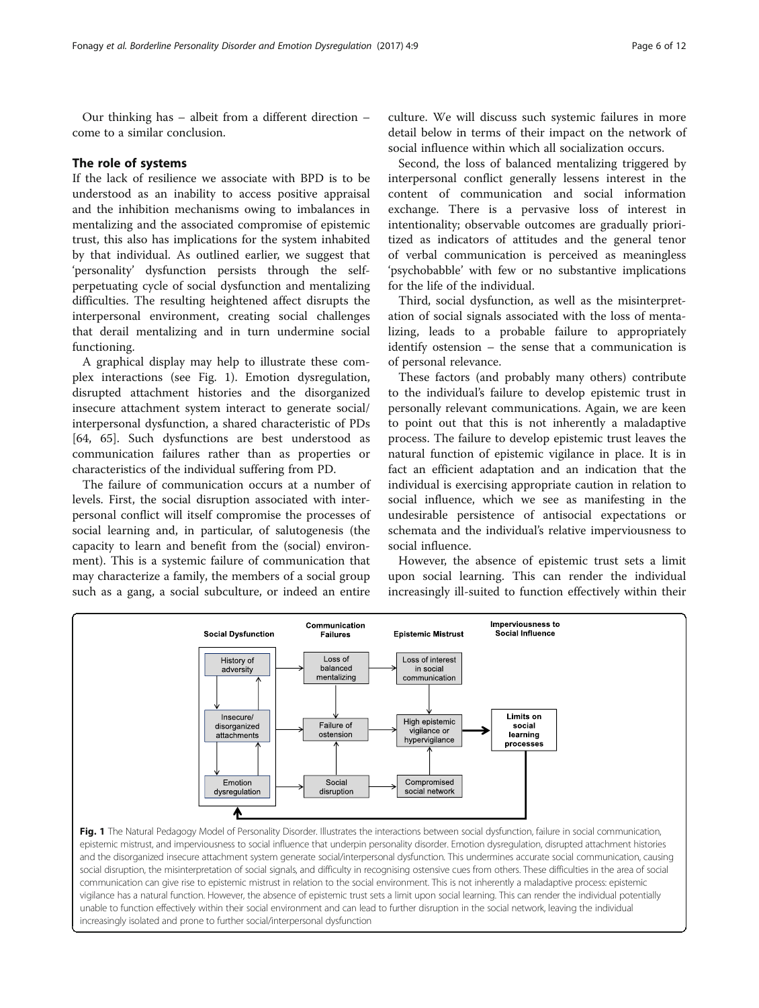Our thinking has – albeit from a different direction – come to a similar conclusion.

### The role of systems

If the lack of resilience we associate with BPD is to be understood as an inability to access positive appraisal and the inhibition mechanisms owing to imbalances in mentalizing and the associated compromise of epistemic trust, this also has implications for the system inhabited by that individual. As outlined earlier, we suggest that 'personality' dysfunction persists through the selfperpetuating cycle of social dysfunction and mentalizing difficulties. The resulting heightened affect disrupts the interpersonal environment, creating social challenges that derail mentalizing and in turn undermine social functioning.

A graphical display may help to illustrate these complex interactions (see Fig. 1). Emotion dysregulation, disrupted attachment histories and the disorganized insecure attachment system interact to generate social/ interpersonal dysfunction, a shared characteristic of PDs [[64, 65\]](#page-11-0). Such dysfunctions are best understood as communication failures rather than as properties or characteristics of the individual suffering from PD.

The failure of communication occurs at a number of levels. First, the social disruption associated with interpersonal conflict will itself compromise the processes of social learning and, in particular, of salutogenesis (the capacity to learn and benefit from the (social) environment). This is a systemic failure of communication that may characterize a family, the members of a social group such as a gang, a social subculture, or indeed an entire

culture. We will discuss such systemic failures in more detail below in terms of their impact on the network of social influence within which all socialization occurs.

Second, the loss of balanced mentalizing triggered by interpersonal conflict generally lessens interest in the content of communication and social information exchange. There is a pervasive loss of interest in intentionality; observable outcomes are gradually prioritized as indicators of attitudes and the general tenor of verbal communication is perceived as meaningless 'psychobabble' with few or no substantive implications for the life of the individual.

Third, social dysfunction, as well as the misinterpretation of social signals associated with the loss of mentalizing, leads to a probable failure to appropriately identify ostension – the sense that a communication is of personal relevance.

These factors (and probably many others) contribute to the individual's failure to develop epistemic trust in personally relevant communications. Again, we are keen to point out that this is not inherently a maladaptive process. The failure to develop epistemic trust leaves the natural function of epistemic vigilance in place. It is in fact an efficient adaptation and an indication that the individual is exercising appropriate caution in relation to social influence, which we see as manifesting in the undesirable persistence of antisocial expectations or schemata and the individual's relative imperviousness to social influence.

However, the absence of epistemic trust sets a limit upon social learning. This can render the individual increasingly ill-suited to function effectively within their



and the disorganized insecure attachment system generate social/interpersonal dysfunction. This undermines accurate social communication, causing social disruption, the misinterpretation of social signals, and difficulty in recognising ostensive cues from others. These difficulties in the area of social communication can give rise to epistemic mistrust in relation to the social environment. This is not inherently a maladaptive process: epistemic vigilance has a natural function. However, the absence of epistemic trust sets a limit upon social learning. This can render the individual potentially unable to function effectively within their social environment and can lead to further disruption in the social network, leaving the individual increasingly isolated and prone to further social/interpersonal dysfunction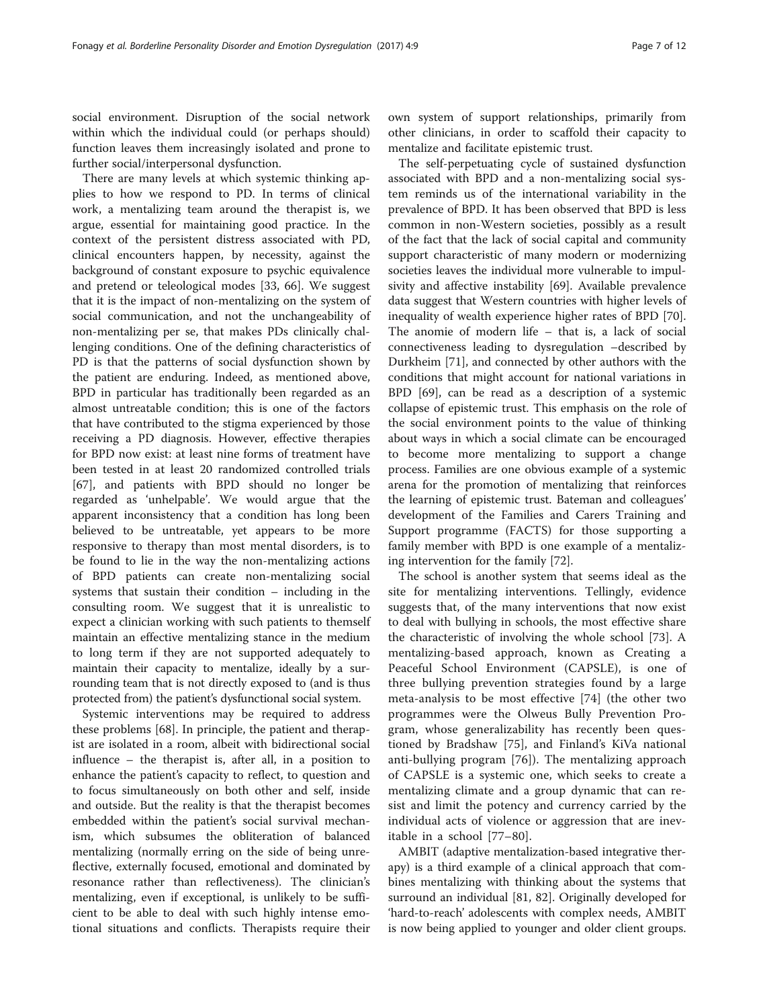social environment. Disruption of the social network within which the individual could (or perhaps should) function leaves them increasingly isolated and prone to further social/interpersonal dysfunction.

There are many levels at which systemic thinking applies to how we respond to PD. In terms of clinical work, a mentalizing team around the therapist is, we argue, essential for maintaining good practice. In the context of the persistent distress associated with PD, clinical encounters happen, by necessity, against the background of constant exposure to psychic equivalence and pretend or teleological modes [\[33](#page-10-0), [66](#page-11-0)]. We suggest that it is the impact of non-mentalizing on the system of social communication, and not the unchangeability of non-mentalizing per se, that makes PDs clinically challenging conditions. One of the defining characteristics of PD is that the patterns of social dysfunction shown by the patient are enduring. Indeed, as mentioned above, BPD in particular has traditionally been regarded as an almost untreatable condition; this is one of the factors that have contributed to the stigma experienced by those receiving a PD diagnosis. However, effective therapies for BPD now exist: at least nine forms of treatment have been tested in at least 20 randomized controlled trials [[67\]](#page-11-0), and patients with BPD should no longer be regarded as 'unhelpable'. We would argue that the apparent inconsistency that a condition has long been believed to be untreatable, yet appears to be more responsive to therapy than most mental disorders, is to be found to lie in the way the non-mentalizing actions of BPD patients can create non-mentalizing social systems that sustain their condition – including in the consulting room. We suggest that it is unrealistic to expect a clinician working with such patients to themself maintain an effective mentalizing stance in the medium to long term if they are not supported adequately to maintain their capacity to mentalize, ideally by a surrounding team that is not directly exposed to (and is thus protected from) the patient's dysfunctional social system.

Systemic interventions may be required to address these problems [[68\]](#page-11-0). In principle, the patient and therapist are isolated in a room, albeit with bidirectional social influence – the therapist is, after all, in a position to enhance the patient's capacity to reflect, to question and to focus simultaneously on both other and self, inside and outside. But the reality is that the therapist becomes embedded within the patient's social survival mechanism, which subsumes the obliteration of balanced mentalizing (normally erring on the side of being unreflective, externally focused, emotional and dominated by resonance rather than reflectiveness). The clinician's mentalizing, even if exceptional, is unlikely to be sufficient to be able to deal with such highly intense emotional situations and conflicts. Therapists require their own system of support relationships, primarily from other clinicians, in order to scaffold their capacity to mentalize and facilitate epistemic trust.

The self-perpetuating cycle of sustained dysfunction associated with BPD and a non-mentalizing social system reminds us of the international variability in the prevalence of BPD. It has been observed that BPD is less common in non-Western societies, possibly as a result of the fact that the lack of social capital and community support characteristic of many modern or modernizing societies leaves the individual more vulnerable to impulsivity and affective instability [\[69](#page-11-0)]. Available prevalence data suggest that Western countries with higher levels of inequality of wealth experience higher rates of BPD [\[70](#page-11-0)]. The anomie of modern life – that is, a lack of social connectiveness leading to dysregulation –described by Durkheim [\[71](#page-11-0)], and connected by other authors with the conditions that might account for national variations in BPD [\[69](#page-11-0)], can be read as a description of a systemic collapse of epistemic trust. This emphasis on the role of the social environment points to the value of thinking about ways in which a social climate can be encouraged to become more mentalizing to support a change process. Families are one obvious example of a systemic arena for the promotion of mentalizing that reinforces the learning of epistemic trust. Bateman and colleagues' development of the Families and Carers Training and Support programme (FACTS) for those supporting a family member with BPD is one example of a mentalizing intervention for the family [[72\]](#page-11-0).

The school is another system that seems ideal as the site for mentalizing interventions. Tellingly, evidence suggests that, of the many interventions that now exist to deal with bullying in schools, the most effective share the characteristic of involving the whole school [\[73](#page-11-0)]. A mentalizing-based approach, known as Creating a Peaceful School Environment (CAPSLE), is one of three bullying prevention strategies found by a large meta-analysis to be most effective [[74\]](#page-11-0) (the other two programmes were the Olweus Bully Prevention Program, whose generalizability has recently been questioned by Bradshaw [[75\]](#page-11-0), and Finland's KiVa national anti-bullying program [\[76](#page-11-0)]). The mentalizing approach of CAPSLE is a systemic one, which seeks to create a mentalizing climate and a group dynamic that can resist and limit the potency and currency carried by the individual acts of violence or aggression that are inevitable in a school [[77](#page-11-0)–[80\]](#page-11-0).

AMBIT (adaptive mentalization-based integrative therapy) is a third example of a clinical approach that combines mentalizing with thinking about the systems that surround an individual [\[81](#page-11-0), [82](#page-11-0)]. Originally developed for 'hard-to-reach' adolescents with complex needs, AMBIT is now being applied to younger and older client groups.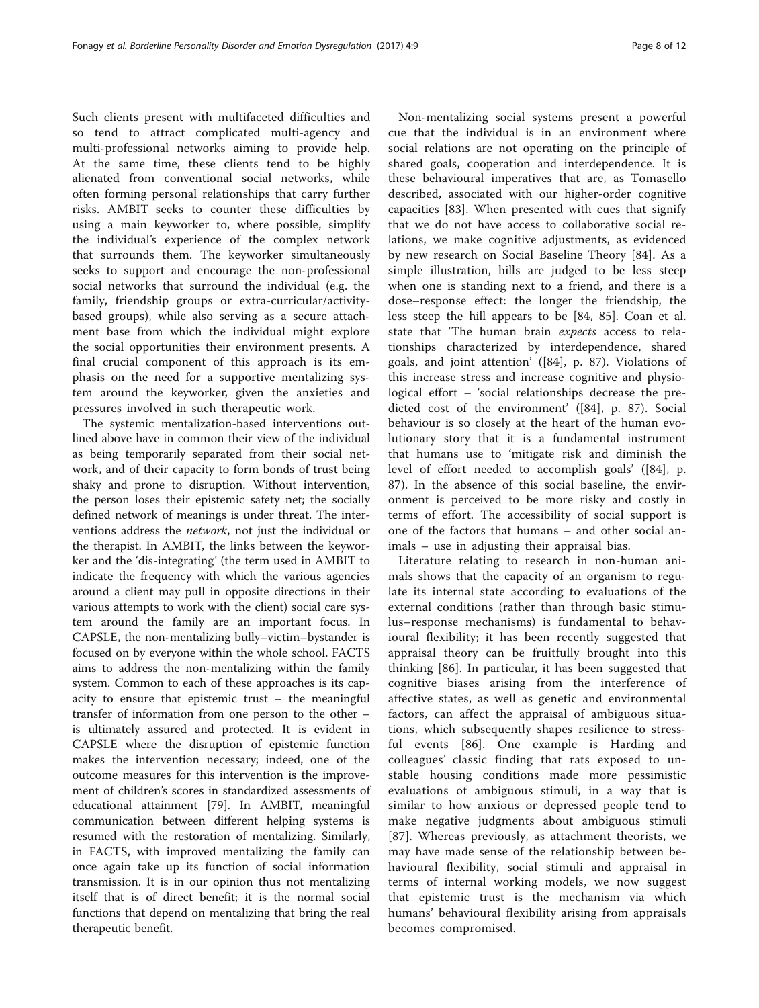Such clients present with multifaceted difficulties and so tend to attract complicated multi-agency and multi-professional networks aiming to provide help. At the same time, these clients tend to be highly alienated from conventional social networks, while often forming personal relationships that carry further risks. AMBIT seeks to counter these difficulties by using a main keyworker to, where possible, simplify the individual's experience of the complex network that surrounds them. The keyworker simultaneously seeks to support and encourage the non-professional social networks that surround the individual (e.g. the family, friendship groups or extra-curricular/activitybased groups), while also serving as a secure attachment base from which the individual might explore the social opportunities their environment presents. A final crucial component of this approach is its emphasis on the need for a supportive mentalizing system around the keyworker, given the anxieties and pressures involved in such therapeutic work.

The systemic mentalization-based interventions outlined above have in common their view of the individual as being temporarily separated from their social network, and of their capacity to form bonds of trust being shaky and prone to disruption. Without intervention, the person loses their epistemic safety net; the socially defined network of meanings is under threat. The interventions address the network, not just the individual or the therapist. In AMBIT, the links between the keyworker and the 'dis-integrating' (the term used in AMBIT to indicate the frequency with which the various agencies around a client may pull in opposite directions in their various attempts to work with the client) social care system around the family are an important focus. In CAPSLE, the non-mentalizing bully–victim–bystander is focused on by everyone within the whole school. FACTS aims to address the non-mentalizing within the family system. Common to each of these approaches is its capacity to ensure that epistemic trust – the meaningful transfer of information from one person to the other – is ultimately assured and protected. It is evident in CAPSLE where the disruption of epistemic function makes the intervention necessary; indeed, one of the outcome measures for this intervention is the improvement of children's scores in standardized assessments of educational attainment [[79\]](#page-11-0). In AMBIT, meaningful communication between different helping systems is resumed with the restoration of mentalizing. Similarly, in FACTS, with improved mentalizing the family can once again take up its function of social information transmission. It is in our opinion thus not mentalizing itself that is of direct benefit; it is the normal social functions that depend on mentalizing that bring the real therapeutic benefit.

Non-mentalizing social systems present a powerful cue that the individual is in an environment where social relations are not operating on the principle of shared goals, cooperation and interdependence. It is these behavioural imperatives that are, as Tomasello described, associated with our higher-order cognitive capacities [\[83](#page-11-0)]. When presented with cues that signify that we do not have access to collaborative social relations, we make cognitive adjustments, as evidenced by new research on Social Baseline Theory [[84\]](#page-11-0). As a simple illustration, hills are judged to be less steep when one is standing next to a friend, and there is a dose–response effect: the longer the friendship, the less steep the hill appears to be [\[84](#page-11-0), [85](#page-11-0)]. Coan et al. state that 'The human brain expects access to relationships characterized by interdependence, shared goals, and joint attention' ([\[84](#page-11-0)], p. 87). Violations of this increase stress and increase cognitive and physiological effort – 'social relationships decrease the predicted cost of the environment' ([[84\]](#page-11-0), p. 87). Social behaviour is so closely at the heart of the human evolutionary story that it is a fundamental instrument that humans use to 'mitigate risk and diminish the level of effort needed to accomplish goals' ([[84\]](#page-11-0), p. 87). In the absence of this social baseline, the environment is perceived to be more risky and costly in terms of effort. The accessibility of social support is one of the factors that humans – and other social animals – use in adjusting their appraisal bias.

Literature relating to research in non-human animals shows that the capacity of an organism to regulate its internal state according to evaluations of the external conditions (rather than through basic stimulus–response mechanisms) is fundamental to behavioural flexibility; it has been recently suggested that appraisal theory can be fruitfully brought into this thinking [[86](#page-11-0)]. In particular, it has been suggested that cognitive biases arising from the interference of affective states, as well as genetic and environmental factors, can affect the appraisal of ambiguous situations, which subsequently shapes resilience to stressful events [\[86](#page-11-0)]. One example is Harding and colleagues' classic finding that rats exposed to unstable housing conditions made more pessimistic evaluations of ambiguous stimuli, in a way that is similar to how anxious or depressed people tend to make negative judgments about ambiguous stimuli [[87](#page-11-0)]. Whereas previously, as attachment theorists, we may have made sense of the relationship between behavioural flexibility, social stimuli and appraisal in terms of internal working models, we now suggest that epistemic trust is the mechanism via which humans' behavioural flexibility arising from appraisals becomes compromised.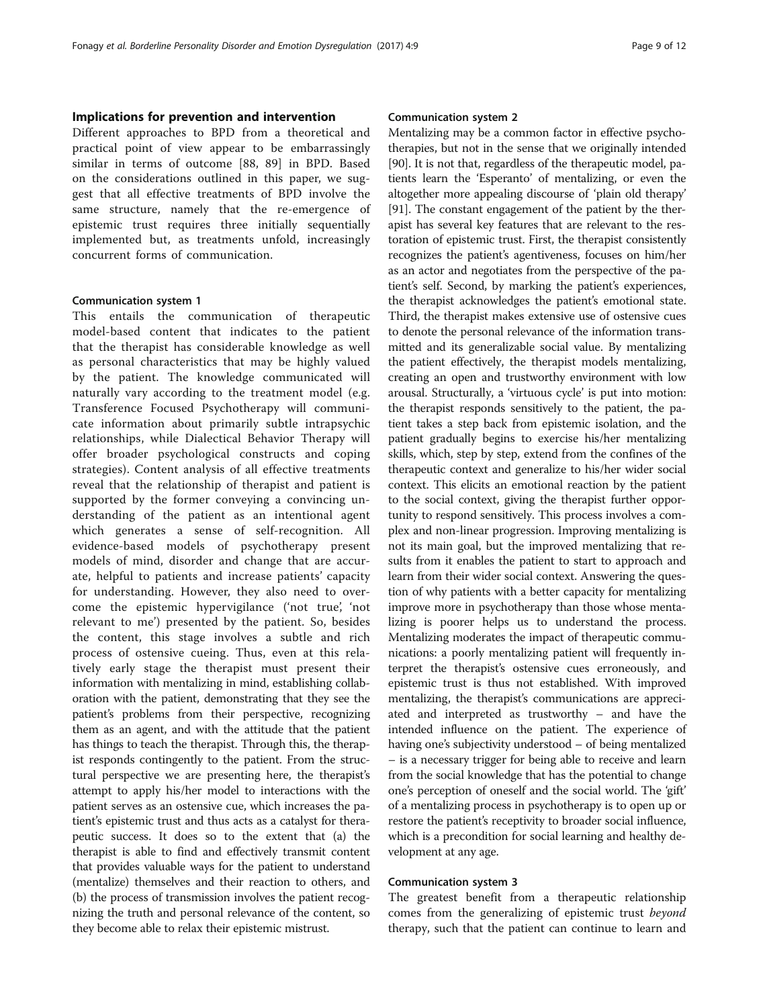### Implications for prevention and intervention

Different approaches to BPD from a theoretical and practical point of view appear to be embarrassingly similar in terms of outcome [[88, 89](#page-11-0)] in BPD. Based on the considerations outlined in this paper, we suggest that all effective treatments of BPD involve the same structure, namely that the re-emergence of epistemic trust requires three initially sequentially implemented but, as treatments unfold, increasingly concurrent forms of communication.

### Communication system 1

This entails the communication of therapeutic model-based content that indicates to the patient that the therapist has considerable knowledge as well as personal characteristics that may be highly valued by the patient. The knowledge communicated will naturally vary according to the treatment model (e.g. Transference Focused Psychotherapy will communicate information about primarily subtle intrapsychic relationships, while Dialectical Behavior Therapy will offer broader psychological constructs and coping strategies). Content analysis of all effective treatments reveal that the relationship of therapist and patient is supported by the former conveying a convincing understanding of the patient as an intentional agent which generates a sense of self-recognition. All evidence-based models of psychotherapy present models of mind, disorder and change that are accurate, helpful to patients and increase patients' capacity for understanding. However, they also need to overcome the epistemic hypervigilance ('not true', 'not relevant to me') presented by the patient. So, besides the content, this stage involves a subtle and rich process of ostensive cueing. Thus, even at this relatively early stage the therapist must present their information with mentalizing in mind, establishing collaboration with the patient, demonstrating that they see the patient's problems from their perspective, recognizing them as an agent, and with the attitude that the patient has things to teach the therapist. Through this, the therapist responds contingently to the patient. From the structural perspective we are presenting here, the therapist's attempt to apply his/her model to interactions with the patient serves as an ostensive cue, which increases the patient's epistemic trust and thus acts as a catalyst for therapeutic success. It does so to the extent that (a) the therapist is able to find and effectively transmit content that provides valuable ways for the patient to understand (mentalize) themselves and their reaction to others, and (b) the process of transmission involves the patient recognizing the truth and personal relevance of the content, so they become able to relax their epistemic mistrust.

### Communication system 2

Mentalizing may be a common factor in effective psychotherapies, but not in the sense that we originally intended [[90](#page-11-0)]. It is not that, regardless of the therapeutic model, patients learn the 'Esperanto' of mentalizing, or even the altogether more appealing discourse of 'plain old therapy' [[91](#page-11-0)]. The constant engagement of the patient by the therapist has several key features that are relevant to the restoration of epistemic trust. First, the therapist consistently recognizes the patient's agentiveness, focuses on him/her as an actor and negotiates from the perspective of the patient's self. Second, by marking the patient's experiences, the therapist acknowledges the patient's emotional state. Third, the therapist makes extensive use of ostensive cues to denote the personal relevance of the information transmitted and its generalizable social value. By mentalizing the patient effectively, the therapist models mentalizing, creating an open and trustworthy environment with low arousal. Structurally, a 'virtuous cycle' is put into motion: the therapist responds sensitively to the patient, the patient takes a step back from epistemic isolation, and the patient gradually begins to exercise his/her mentalizing skills, which, step by step, extend from the confines of the therapeutic context and generalize to his/her wider social context. This elicits an emotional reaction by the patient to the social context, giving the therapist further opportunity to respond sensitively. This process involves a complex and non-linear progression. Improving mentalizing is not its main goal, but the improved mentalizing that results from it enables the patient to start to approach and learn from their wider social context. Answering the question of why patients with a better capacity for mentalizing improve more in psychotherapy than those whose mentalizing is poorer helps us to understand the process. Mentalizing moderates the impact of therapeutic communications: a poorly mentalizing patient will frequently interpret the therapist's ostensive cues erroneously, and epistemic trust is thus not established. With improved mentalizing, the therapist's communications are appreciated and interpreted as trustworthy – and have the intended influence on the patient. The experience of having one's subjectivity understood – of being mentalized – is a necessary trigger for being able to receive and learn from the social knowledge that has the potential to change one's perception of oneself and the social world. The 'gift' of a mentalizing process in psychotherapy is to open up or restore the patient's receptivity to broader social influence, which is a precondition for social learning and healthy development at any age.

### Communication system 3

The greatest benefit from a therapeutic relationship comes from the generalizing of epistemic trust beyond therapy, such that the patient can continue to learn and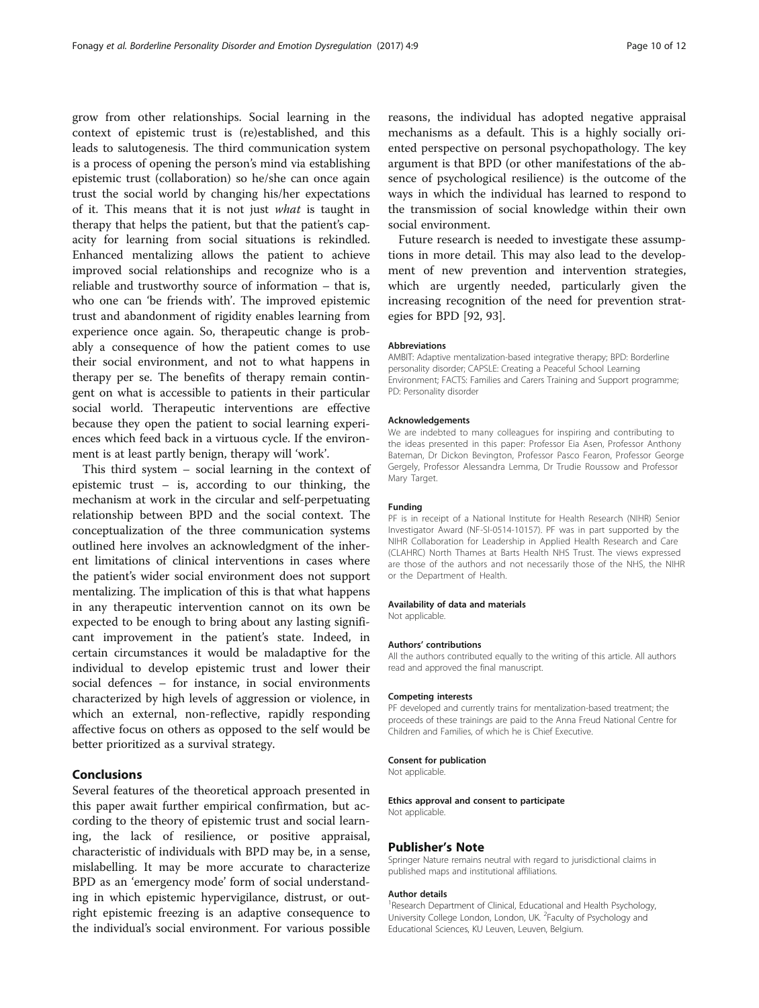grow from other relationships. Social learning in the context of epistemic trust is (re)established, and this leads to salutogenesis. The third communication system is a process of opening the person's mind via establishing epistemic trust (collaboration) so he/she can once again trust the social world by changing his/her expectations of it. This means that it is not just what is taught in therapy that helps the patient, but that the patient's capacity for learning from social situations is rekindled. Enhanced mentalizing allows the patient to achieve improved social relationships and recognize who is a reliable and trustworthy source of information – that is, who one can 'be friends with'. The improved epistemic trust and abandonment of rigidity enables learning from experience once again. So, therapeutic change is probably a consequence of how the patient comes to use their social environment, and not to what happens in therapy per se. The benefits of therapy remain contingent on what is accessible to patients in their particular social world. Therapeutic interventions are effective because they open the patient to social learning experiences which feed back in a virtuous cycle. If the environment is at least partly benign, therapy will 'work'.

This third system – social learning in the context of epistemic trust – is, according to our thinking, the mechanism at work in the circular and self-perpetuating relationship between BPD and the social context. The conceptualization of the three communication systems outlined here involves an acknowledgment of the inherent limitations of clinical interventions in cases where the patient's wider social environment does not support mentalizing. The implication of this is that what happens in any therapeutic intervention cannot on its own be expected to be enough to bring about any lasting significant improvement in the patient's state. Indeed, in certain circumstances it would be maladaptive for the individual to develop epistemic trust and lower their social defences – for instance, in social environments characterized by high levels of aggression or violence, in which an external, non-reflective, rapidly responding affective focus on others as opposed to the self would be better prioritized as a survival strategy.

### **Conclusions**

Several features of the theoretical approach presented in this paper await further empirical confirmation, but according to the theory of epistemic trust and social learning, the lack of resilience, or positive appraisal, characteristic of individuals with BPD may be, in a sense, mislabelling. It may be more accurate to characterize BPD as an 'emergency mode' form of social understanding in which epistemic hypervigilance, distrust, or outright epistemic freezing is an adaptive consequence to the individual's social environment. For various possible reasons, the individual has adopted negative appraisal mechanisms as a default. This is a highly socially oriented perspective on personal psychopathology. The key argument is that BPD (or other manifestations of the absence of psychological resilience) is the outcome of the ways in which the individual has learned to respond to the transmission of social knowledge within their own social environment.

Future research is needed to investigate these assumptions in more detail. This may also lead to the development of new prevention and intervention strategies, which are urgently needed, particularly given the increasing recognition of the need for prevention strategies for BPD [[92, 93](#page-11-0)].

#### Abbreviations

AMBIT: Adaptive mentalization-based integrative therapy; BPD: Borderline personality disorder; CAPSLE: Creating a Peaceful School Learning Environment; FACTS: Families and Carers Training and Support programme; PD: Personality disorder

#### Acknowledgements

We are indebted to many colleagues for inspiring and contributing to the ideas presented in this paper: Professor Eia Asen, Professor Anthony Bateman, Dr Dickon Bevington, Professor Pasco Fearon, Professor George Gergely, Professor Alessandra Lemma, Dr Trudie Roussow and Professor Mary Target.

#### Funding

PF is in receipt of a National Institute for Health Research (NIHR) Senior Investigator Award (NF-SI-0514-10157). PF was in part supported by the NIHR Collaboration for Leadership in Applied Health Research and Care (CLAHRC) North Thames at Barts Health NHS Trust. The views expressed are those of the authors and not necessarily those of the NHS, the NIHR or the Department of Health.

#### Availability of data and materials

Not applicable.

#### Authors' contributions

All the authors contributed equally to the writing of this article. All authors read and approved the final manuscript.

#### Competing interests

PF developed and currently trains for mentalization-based treatment; the proceeds of these trainings are paid to the Anna Freud National Centre for Children and Families, of which he is Chief Executive.

#### Consent for publication

Not applicable.

#### Ethics approval and consent to participate Not applicable.

Publisher's Note

Springer Nature remains neutral with regard to jurisdictional claims in published maps and institutional affiliations.

#### Author details

<sup>1</sup> Research Department of Clinical, Educational and Health Psychology, University College London, London, UK. <sup>2</sup> Faculty of Psychology and Educational Sciences, KU Leuven, Leuven, Belgium.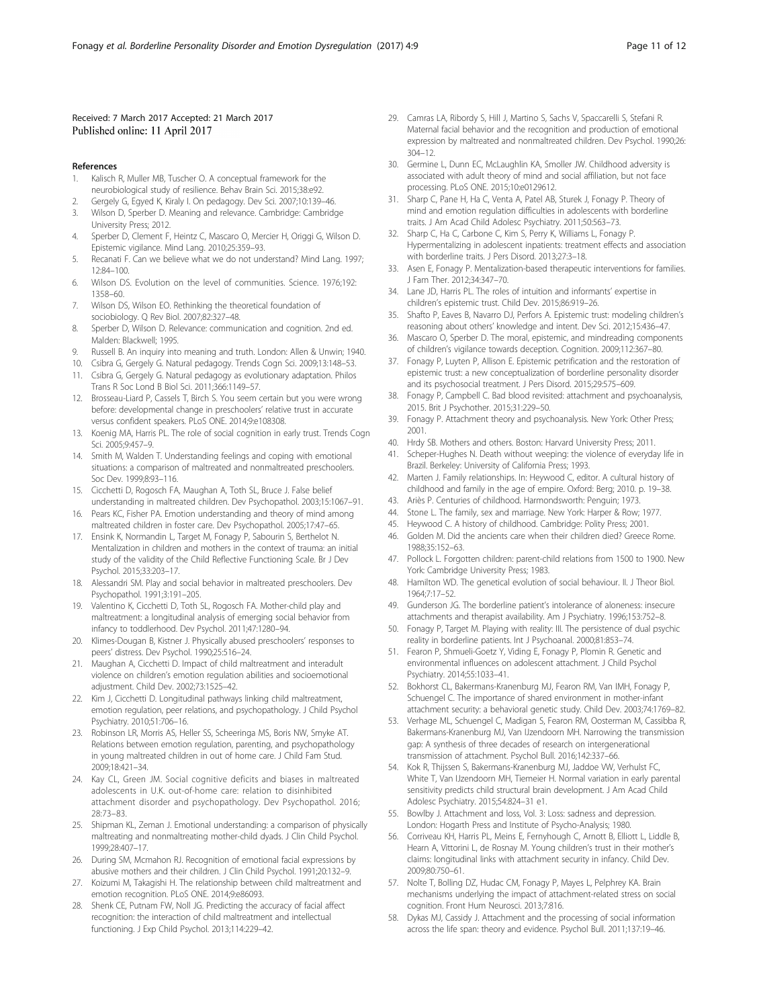### <span id="page-10-0"></span>Received: 7 March 2017 Accepted: 21 March 2017 Published online: 11 April 2017

#### References

- 1. Kalisch R, Muller MB, Tuscher O. A conceptual framework for the neurobiological study of resilience. Behav Brain Sci. 2015;38:e92.
- 2. Gergely G, Egyed K, Kiraly I. On pedagogy. Dev Sci. 2007;10:139–46.
- 3. Wilson D, Sperber D. Meaning and relevance. Cambridge: Cambridge University Press; 2012.
- 4. Sperber D, Clement F, Heintz C, Mascaro O, Mercier H, Origgi G, Wilson D. Epistemic vigilance. Mind Lang. 2010;25:359–93.
- 5. Recanati F. Can we believe what we do not understand? Mind Lang. 1997; 12:84–100.
- 6. Wilson DS. Evolution on the level of communities. Science. 1976;192: 1358–60.
- 7. Wilson DS, Wilson EO. Rethinking the theoretical foundation of sociobiology. Q Rev Biol. 2007;82:327–48.
- 8. Sperber D, Wilson D. Relevance: communication and cognition. 2nd ed. Malden: Blackwell; 1995.
- 9. Russell B. An inquiry into meaning and truth. London: Allen & Unwin; 1940.
- 10. Csibra G, Gergely G. Natural pedagogy. Trends Cogn Sci. 2009;13:148–53.
- 11. Csibra G, Gergely G. Natural pedagogy as evolutionary adaptation. Philos Trans R Soc Lond B Biol Sci. 2011;366:1149–57.
- 12. Brosseau-Liard P, Cassels T, Birch S. You seem certain but you were wrong before: developmental change in preschoolers' relative trust in accurate versus confident speakers. PLoS ONE. 2014;9:e108308.
- 13. Koenig MA, Harris PL. The role of social cognition in early trust. Trends Cogn Sci. 2005;9:457–9.
- 14. Smith M, Walden T. Understanding feelings and coping with emotional situations: a comparison of maltreated and nonmaltreated preschoolers. Soc Dev. 1999;8:93–116.
- 15. Cicchetti D, Rogosch FA, Maughan A, Toth SL, Bruce J. False belief understanding in maltreated children. Dev Psychopathol. 2003;15:1067–91.
- 16. Pears KC, Fisher PA. Emotion understanding and theory of mind among maltreated children in foster care. Dev Psychopathol. 2005;17:47–65.
- 17. Ensink K, Normandin L, Target M, Fonagy P, Sabourin S, Berthelot N. Mentalization in children and mothers in the context of trauma: an initial study of the validity of the Child Reflective Functioning Scale. Br J Dev Psychol. 2015;33:203–17.
- 18. Alessandri SM. Play and social behavior in maltreated preschoolers. Dev Psychopathol. 1991;3:191–205.
- 19. Valentino K, Cicchetti D, Toth SL, Rogosch FA. Mother-child play and maltreatment: a longitudinal analysis of emerging social behavior from infancy to toddlerhood. Dev Psychol. 2011;47:1280–94.
- 20. Klimes-Dougan B, Kistner J. Physically abused preschoolers' responses to peers' distress. Dev Psychol. 1990;25:516–24.
- 21. Maughan A, Cicchetti D. Impact of child maltreatment and interadult violence on children's emotion regulation abilities and socioemotional adjustment. Child Dev. 2002;73:1525–42.
- 22. Kim J, Cicchetti D. Longitudinal pathways linking child maltreatment, emotion regulation, peer relations, and psychopathology. J Child Psychol Psychiatry. 2010;51:706–16.
- 23. Robinson LR, Morris AS, Heller SS, Scheeringa MS, Boris NW, Smyke AT. Relations between emotion regulation, parenting, and psychopathology in young maltreated children in out of home care. J Child Fam Stud. 2009;18:421–34.
- 24. Kay CL, Green JM. Social cognitive deficits and biases in maltreated adolescents in U.K. out-of-home care: relation to disinhibited attachment disorder and psychopathology. Dev Psychopathol. 2016; 28:73–83.
- 25. Shipman KL, Zeman J. Emotional understanding: a comparison of physically maltreating and nonmaltreating mother-child dyads. J Clin Child Psychol. 1999;28:407–17.
- 26. During SM, Mcmahon RJ. Recognition of emotional facial expressions by abusive mothers and their children. J Clin Child Psychol. 1991;20:132–9.
- 27. Koizumi M, Takagishi H. The relationship between child maltreatment and emotion recognition. PLoS ONE. 2014;9:e86093.
- 28. Shenk CE, Putnam FW, Noll JG. Predicting the accuracy of facial affect recognition: the interaction of child maltreatment and intellectual functioning. J Exp Child Psychol. 2013;114:229–42.
- 29. Camras LA, Ribordy S, Hill J, Martino S, Sachs V, Spaccarelli S, Stefani R. Maternal facial behavior and the recognition and production of emotional expression by maltreated and nonmaltreated children. Dev Psychol. 1990;26: 304–12.
- 30. Germine L, Dunn EC, McLaughlin KA, Smoller JW. Childhood adversity is associated with adult theory of mind and social affiliation, but not face processing. PLoS ONE. 2015;10:e0129612.
- 31. Sharp C, Pane H, Ha C, Venta A, Patel AB, Sturek J, Fonagy P. Theory of mind and emotion regulation difficulties in adolescents with borderline traits. J Am Acad Child Adolesc Psychiatry. 2011;50:563–73.
- 32. Sharp C, Ha C, Carbone C, Kim S, Perry K, Williams L, Fonagy P. Hypermentalizing in adolescent inpatients: treatment effects and association with borderline traits. J Pers Disord. 2013;27:3–18.
- 33. Asen E, Fonagy P. Mentalization-based therapeutic interventions for families. J Fam Ther. 2012;34:347–70.
- 34. Lane JD, Harris PL. The roles of intuition and informants' expertise in children's epistemic trust. Child Dev. 2015;86:919–26.
- 35. Shafto P, Eaves B, Navarro DJ, Perfors A. Epistemic trust: modeling children's reasoning about others' knowledge and intent. Dev Sci. 2012;15:436–47.
- 36. Mascaro O, Sperber D. The moral, epistemic, and mindreading components of children's vigilance towards deception. Cognition. 2009;112:367–80.
- 37. Fonagy P, Luyten P, Allison E. Epistemic petrification and the restoration of epistemic trust: a new conceptualization of borderline personality disorder and its psychosocial treatment. J Pers Disord. 2015;29:575–609.
- 38. Fonagy P, Campbell C. Bad blood revisited: attachment and psychoanalysis, 2015. Brit J Psychother. 2015;31:229–50.
- 39. Fonagy P. Attachment theory and psychoanalysis. New York: Other Press; 2001.
- 40. Hrdy SB. Mothers and others. Boston: Harvard University Press; 2011.
- 41. Scheper-Hughes N. Death without weeping: the violence of everyday life in Brazil. Berkeley: University of California Press; 1993.
- 42. Marten J. Family relationships. In: Heywood C, editor. A cultural history of childhood and family in the age of empire. Oxford: Berg; 2010. p. 19–38.
- 43. Ariès P. Centuries of childhood. Harmondsworth: Penguin; 1973.
- 44. Stone L. The family, sex and marriage. New York: Harper & Row; 1977.
- 45. Heywood C. A history of childhood. Cambridge: Polity Press; 2001.
- 46. Golden M. Did the ancients care when their children died? Greece Rome. 1988;35:152–63.
- 47. Pollock L. Forgotten children: parent-child relations from 1500 to 1900. New York: Cambridge University Press; 1983.
- 48. Hamilton WD. The genetical evolution of social behaviour. II. J Theor Biol. 1964;7:17–52.
- 49. Gunderson JG. The borderline patient's intolerance of aloneness: insecure attachments and therapist availability. Am J Psychiatry. 1996;153:752–8.
- 50. Fonagy P, Target M. Playing with reality: III. The persistence of dual psychic reality in borderline patients. Int J Psychoanal. 2000;81:853–74.
- 51. Fearon P, Shmueli-Goetz Y, Viding E, Fonagy P, Plomin R. Genetic and environmental influences on adolescent attachment. J Child Psychol Psychiatry. 2014;55:1033–41.
- 52. Bokhorst CL, Bakermans-Kranenburg MJ, Fearon RM, Van IMH, Fonagy P, Schuengel C. The importance of shared environment in mother-infant attachment security: a behavioral genetic study. Child Dev. 2003;74:1769–82.
- 53. Verhage ML, Schuengel C, Madigan S, Fearon RM, Oosterman M, Cassibba R, Bakermans-Kranenburg MJ, Van IJzendoorn MH. Narrowing the transmission gap: A synthesis of three decades of research on intergenerational transmission of attachment. Psychol Bull. 2016;142:337–66.
- 54. Kok R, Thijssen S, Bakermans-Kranenburg MJ, Jaddoe VW, Verhulst FC, White T, Van IJzendoorn MH, Tiemeier H. Normal variation in early parental sensitivity predicts child structural brain development. J Am Acad Child Adolesc Psychiatry. 2015;54:824–31 e1.
- 55. Bowlby J. Attachment and loss, Vol. 3: Loss: sadness and depression. London: Hogarth Press and Institute of Psycho-Analysis; 1980.
- 56. Corriveau KH, Harris PL, Meins E, Fernyhough C, Arnott B, Elliott L, Liddle B, Hearn A, Vittorini L, de Rosnay M. Young children's trust in their mother's claims: longitudinal links with attachment security in infancy. Child Dev. 2009;80:750–61.
- 57. Nolte T, Bolling DZ, Hudac CM, Fonagy P, Mayes L, Pelphrey KA. Brain mechanisms underlying the impact of attachment-related stress on social cognition. Front Hum Neurosci. 2013;7:816.
- 58. Dykas MJ, Cassidy J. Attachment and the processing of social information across the life span: theory and evidence. Psychol Bull. 2011;137:19–46.